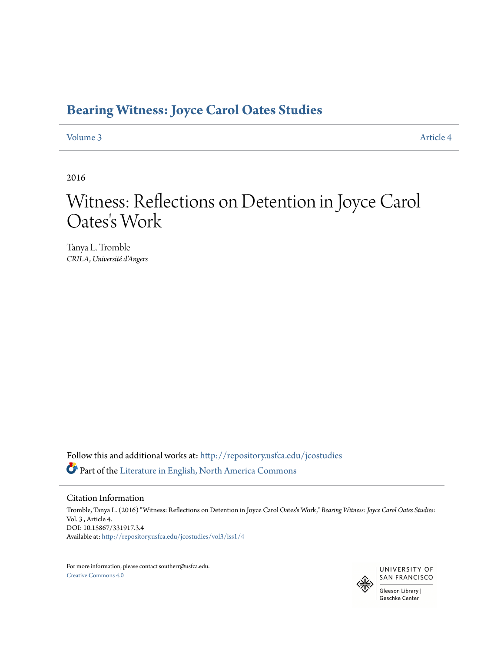## **[Bearing Witness: Joyce Carol Oates Studies](http://repository.usfca.edu/jcostudies?utm_source=repository.usfca.edu%2Fjcostudies%2Fvol3%2Fiss1%2F4&utm_medium=PDF&utm_campaign=PDFCoverPages)**

### [Volume 3](http://repository.usfca.edu/jcostudies/vol3?utm_source=repository.usfca.edu%2Fjcostudies%2Fvol3%2Fiss1%2F4&utm_medium=PDF&utm_campaign=PDFCoverPages) [Article 4](http://repository.usfca.edu/jcostudies/vol3/iss1/4?utm_source=repository.usfca.edu%2Fjcostudies%2Fvol3%2Fiss1%2F4&utm_medium=PDF&utm_campaign=PDFCoverPages)

2016

# Witness: Reflections on Detention in Joyce Carol Oates 's Work

Tanya L. Tromble *CRILA, Université d'Angers*

Follow this and additional works at: [http://repository.usfca.edu/jcostudies](http://repository.usfca.edu/jcostudies?utm_source=repository.usfca.edu%2Fjcostudies%2Fvol3%2Fiss1%2F4&utm_medium=PDF&utm_campaign=PDFCoverPages) Part of the [Literature in English, North America Commons](http://network.bepress.com/hgg/discipline/458?utm_source=repository.usfca.edu%2Fjcostudies%2Fvol3%2Fiss1%2F4&utm_medium=PDF&utm_campaign=PDFCoverPages)

#### Citation Information

Tromble, Tanya L. (2016) "Witness: Reflections on Detention in Joyce Carol Oates's Work," *Bearing Witness: Joyce Carol Oates Studies*: Vol. 3 , Article 4. DOI: 10.15867/331917.3.4 Available at: [http://repository.usfca.edu/jcostudies/vol3/iss1/4](http://repository.usfca.edu/jcostudies/vol3/iss1/4?utm_source=repository.usfca.edu%2Fjcostudies%2Fvol3%2Fiss1%2F4&utm_medium=PDF&utm_campaign=PDFCoverPages)

For more information, please contact southerr@usfca.edu. [Creative Commons 4.0](http://creativecommons.org/licenses/by/4.0/)

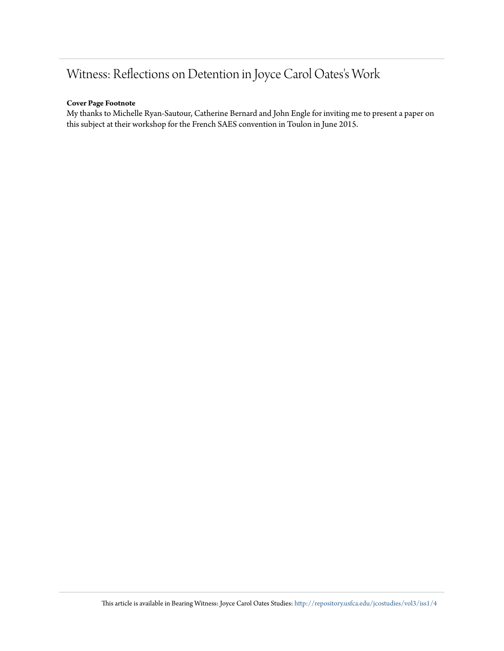# Witness: Reflections on Detention in Joyce Carol Oates's Work

### **Cover Page Footnote**

My thanks to Michelle Ryan-Sautour, Catherine Bernard and John Engle for inviting me to present a paper on this subject at their workshop for the French SAES convention in Toulon in June 2015.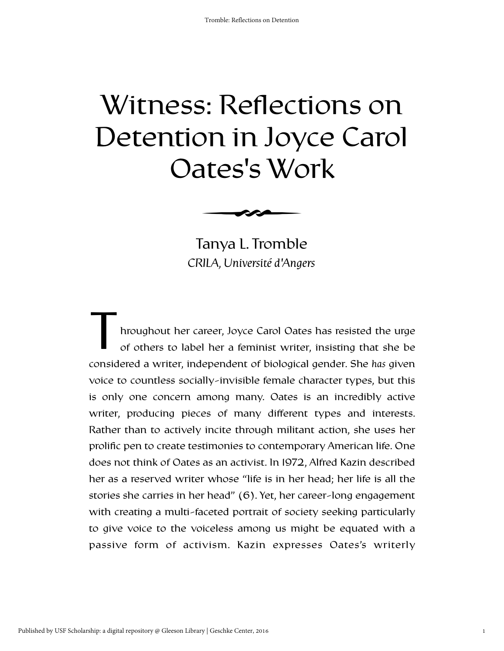# Witness: Reflections on Detention in Joyce Carol Oates's Work



*CRILA, Université d'Angers* Tanya L. Tromble

hroughout her career, Joyce Carol Oates has resisted the urge of others to label her a feminist writer, insisting that she be considered a writer, independent of biological gender. She *has* given voice to countless socially-invisible female character types, but this is only one concern among many. Oates is an incredibly active writer, producing pieces of many different types and interests. Rather than to actively incite through militant action, she uses her prolific pen to create testimonies to contemporary American life. One does not think of Oates as an activist. In 1972, Alfred Kazin described her as a reserved writer whose "life is in her head; her life is all the stories she carries in her head" (6). Yet, her career-long engagement with creating a multi-faceted portrait of society seeking particularly to give voice to the voiceless among us might be equated with a passive form of activism. Kazin expresses Oates's writerly T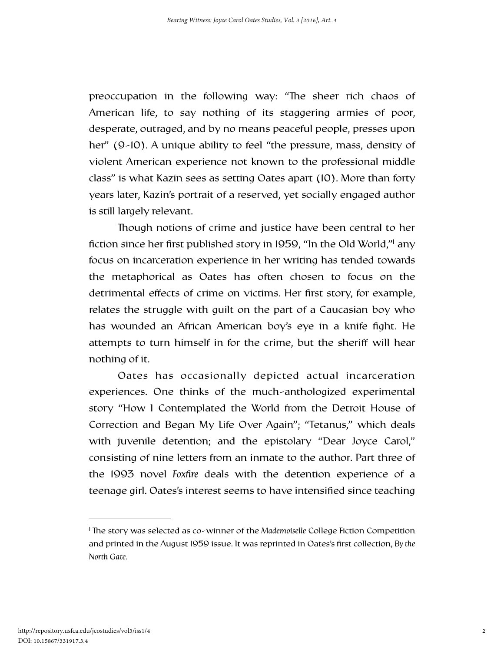preoccupation in the following way: "The sheer rich chaos of American life, to say nothing of its staggering armies of poor, desperate, outraged, and by no means peaceful people, presses upon her" (9-10). A unique ability to feel "the pressure, mass, density of violent American experience not known to the professional middle class" is what Kazin sees as setting Oates apart (10). More than forty years later, Kazin's portrait of a reserved, yet socially engaged author is still largely relevant.

<span id="page-3-1"></span>Though notions of crime and justice have been central to her fiction since her first published story in 1959, "In the Old World,["](#page-3-0) any focus on incarceration experience in her writing has tended towards the metaphorical as Oates has often chosen to focus on the detrimental effects of crime on victims. Her first story, for example, relates the struggle with guilt on the part of a Caucasian boy who has wounded an African American boy's eye in a knife fight. He attempts to turn himself in for the crime, but the sheriff will hear nothing of it.

Oates has occasionally depicted actual incarceration experiences. One thinks of the much-anthologized experimental story "How I Contemplated the World from the Detroit House of Correction and Began My Life Over Again"; "Tetanus," which deals with juvenile detention; and the epistolary "Dear Joyce Carol," consisting of nine letters from an inmate to the author. Part three of the 1993 novel *Foxfire* deals with the detention experience of a teenage girl. Oates's interest seems to have intensified since teaching

<span id="page-3-0"></span><sup>&</sup>lt;sup>[1](#page-3-1)</sup> The story was selected as co-winner of the *Mademoiselle* College Fiction Competition and printed in the August 1959 issue. It was reprinted in Oates's first collection, *By the North Gate*.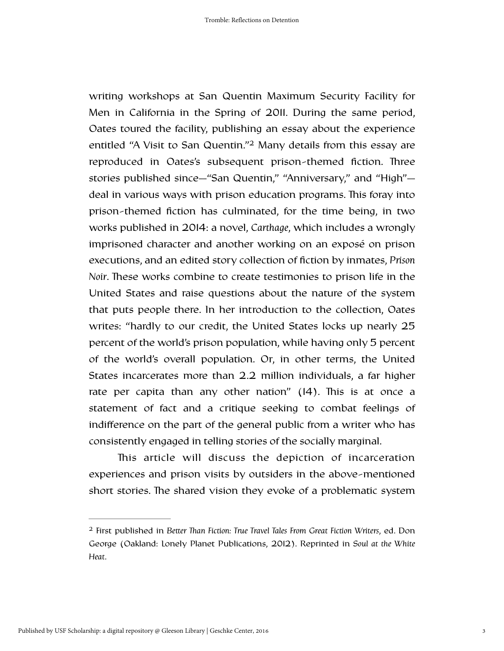<span id="page-4-1"></span>writing workshops at San Quentin Maximum Security Facility for Men in California in the Spring of 2011. During the same period, Oates toured the facility, publishing an essay about the experience entitled ["](#page-4-0)A Visit to San Quentin."<sup>[2](#page-4-0)</sup> Many details from this essay are reproduced in Oates's subsequent prison-themed fiction. Three stories published since—"San Quentin," "Anniversary," and "High" deal in various ways with prison education programs. This foray into prison-themed fiction has culminated, for the time being, in two works published in 2014: a novel, *Carthage*, which includes a wrongly imprisoned character and another working on an exposé on prison executions, and an edited story collection of fiction by inmates, *Prison Noir*. These works combine to create testimonies to prison life in the United States and raise questions about the nature of the system that puts people there. In her introduction to the collection, Oates writes: "hardly to our credit, the United States locks up nearly 25 percent of the world's prison population, while having only 5 percent of the world's overall population. Or, in other terms, the United States incarcerates more than 2.2 million individuals, a far higher rate per capita than any other nation"  $(14)$ . This is at once a statement of fact and a critique seeking to combat feelings of indifference on the part of the general public from a writer who has consistently engaged in telling stories of the socially marginal.

This article will discuss the depiction of incarceration experiences and prison visits by outsiders in the above-mentioned short stories. The shared vision they evoke of a problematic system

<span id="page-4-0"></span>First published in *Better an Fiction: True Travel Tales From Great Fiction Writers*, ed. Don [2](#page-4-1) George (Oakland: Lonely Planet Publications, 2012). Reprinted in *Soul at the White Heat*.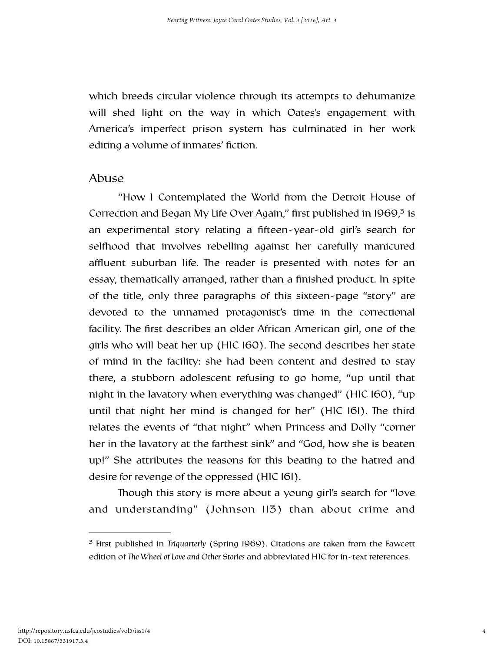which breeds circular violence through its attempts to dehumanize will shed light on the way in which Oates's engagement with America's imperfect prison system has culminated in her work editing a volume of inmates' fiction.

### Abuse

<span id="page-5-1"></span> "How I Contemplated the World from the Detroit House of Correction and Began My Life Over Again[,](#page-5-0)" first published in  $1969$ ,  $3$  is an experimental story relating a fifteen-year-old girl's search for selfhood that involves rebelling against her carefully manicured affluent suburban life. The reader is presented with notes for an essay, thematically arranged, rather than a finished product. In spite of the title, only three paragraphs of this sixteen-page "story" are devoted to the unnamed protagonist's time in the correctional facility. The first describes an older African American girl, one of the girls who will beat her up (HIC 160). The second describes her state of mind in the facility: she had been content and desired to stay there, a stubborn adolescent refusing to go home, "up until that night in the lavatory when everything was changed" (HIC 160), "up until that night her mind is changed for her" (HIC 161). The third relates the events of "that night" when Princess and Dolly "corner her in the lavatory at the farthest sink" and "God, how she is beaten up!" She attributes the reasons for this beating to the hatred and desire for revenge of the oppressed (HIC 161).

Though this story is more about a young girl's search for "love" and understanding" (Johnson 113) than about crime and

<span id="page-5-0"></span><sup>&</sup>lt;sup>[3](#page-5-1)</sup> First published in *Triquarterly* (Spring 1969). Citations are taken from the Fawcett edition of *The Wheel of Love and Other Stories* and abbreviated HIC for in-text references.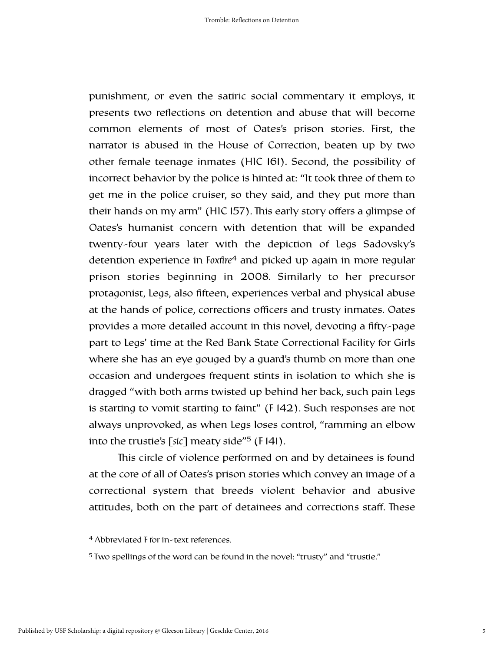<span id="page-6-2"></span>punishment, or even the satiric social commentary it employs, it presents two reflections on detention and abuse that will become common elements of most of Oates's prison stories. First, the narrator is abused in the House of Correction, beaten up by two other female teenage inmates (HIC 161). Second, the possibility of incorrect behavior by the police is hinted at: "It took three of them to get me in the police cruiser, so they said, and they put more than their hands on my arm" (HIC 157). This early story offers a glimpse of Oates's humanist concern with detention that will be expanded twenty-four years later with the depiction of Legs Sadovsky's detention experience in *Foxfire* and picked up again in more regular [4](#page-6-0) prison stories beginning in 2008. Similarly to her precursor protagonist, Legs, also fifteen, experiences verbal and physical abuse at the hands of police, corrections officers and trusty inmates. Oates provides a more detailed account in this novel, devoting a fifty-page part to Legs' time at the Red Bank State Correctional Facility for Girls where she has an eye gouged by a guard's thumb on more than one occasion and undergoes frequent stints in isolation to which she is dragged "with both arms twisted up behind her back, such pain Legs is starting to vomit starting to faint" (F 142). Such responses are not always unprovoked, as when Legs loses control, "ramming an elbow into the trustie's [sic] meaty side<sup> $n$ [5](#page-6-1)</sup> (F 141).

<span id="page-6-3"></span>This circle of violence performed on and by detainees is found at the core of all of Oates's prison stories which convey an image of a correctional system that breeds violent behavior and abusive attitudes, both on the part of detainees and corrections staff. These

<span id="page-6-0"></span>Abbreviated F for in-text references. [4](#page-6-2)

<span id="page-6-1"></span><sup>&</sup>lt;sup>[5](#page-6-3)</sup> Two spellings of the word can be found in the novel: "trusty" and "trustie."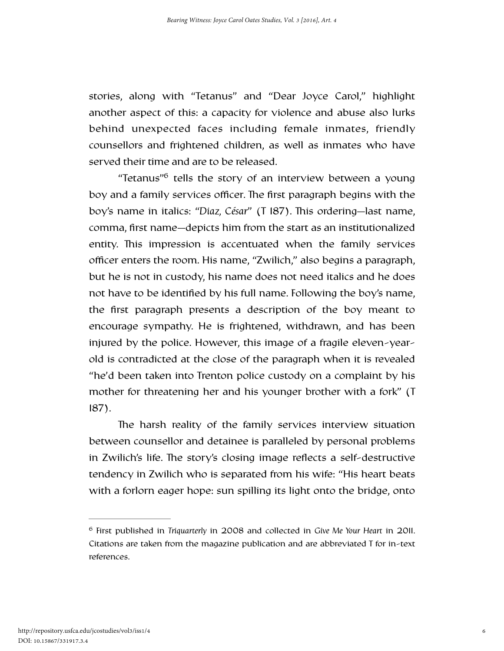stories, along with "Tetanus" and "Dear Joyce Carol," highlight another aspect of this: a capacity for violence and abuse also lurks behind unexpected faces including female inmates, friendly counsellors and frightened children, as well as inmates who have served their time and are to be released.

<span id="page-7-1"></span>["](#page-7-0)Tetanus" $6$  tells the story of an interview between a young boy and a family services officer. The first paragraph begins with the boy's name in italics: "Diaz, César" (T 187). This ordering—last name, comma, first name—depicts him from the start as an institutionalized entity. This impression is accentuated when the family services officer enters the room. His name, "Zwilich," also begins a paragraph, but he is not in custody, his name does not need italics and he does not have to be identified by his full name. Following the boy's name, the first paragraph presents a description of the boy meant to encourage sympathy. He is frightened, withdrawn, and has been injured by the police. However, this image of a fragile eleven-yearold is contradicted at the close of the paragraph when it is revealed "he'd been taken into Trenton police custody on a complaint by his mother for threatening her and his younger brother with a fork" (T 187).

The harsh reality of the family services interview situation between counsellor and detainee is paralleled by personal problems in Zwilich's life. The story's closing image reflects a self-destructive tendency in Zwilich who is separated from his wife: "His heart beats with a forlorn eager hope: sun spilling its light onto the bridge, onto

<span id="page-7-0"></span>First published in *Triquarterly* in 2008 and collected in *Give Me Your Heart* in 2011. [6](#page-7-1) Citations are taken from the magazine publication and are abbreviated T for in-text references.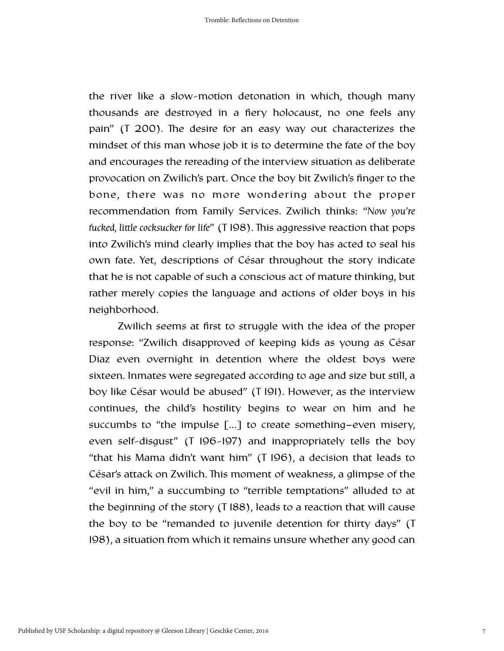the river like a slow-motion detonation in which, though many thousands are destroyed in a fiery holocaust, no one feels any pain" ( $T$  200). The desire for an easy way out characterizes the mindset of this man whose job it is to determine the fate of the boy and encourages the rereading of the interview situation as deliberate provocation on Zwilich's part. Once the boy bit Zwilich's finger to the bone, there was no more wondering about the proper recommendation from Family Services. Zwilich thinks: "*Now you're fucked, little cocksucker for life*" (T 198). This aggressive reaction that pops into Zwilich's mind clearly implies that the boy has acted to seal his own fate. Yet, descriptions of César throughout the story indicate that he is not capable of such a conscious act of mature thinking, but rather merely copies the language and actions of older boys in his neighborhood.

 Zwilich seems at first to struggle with the idea of the proper response: "Zwilich disapproved of keeping kids as young as César Diaz even overnight in detention where the oldest boys were sixteen. Inmates were segregated according to age and size but still, a boy like César would be abused" (T 191). However, as the interview continues, the child's hostility begins to wear on him and he succumbs to "the impulse […] to create something−even misery, even self-disgust" (T 196-197) and inappropriately tells the boy "that his Mama didn't want him" (T 196), a decision that leads to César's attack on Zwilich. This moment of weakness, a glimpse of the "evil in him," a succumbing to "terrible temptations" alluded to at the beginning of the story (T 188), leads to a reaction that will cause the boy to be "remanded to juvenile detention for thirty days" (T 198), a situation from which it remains unsure whether any good can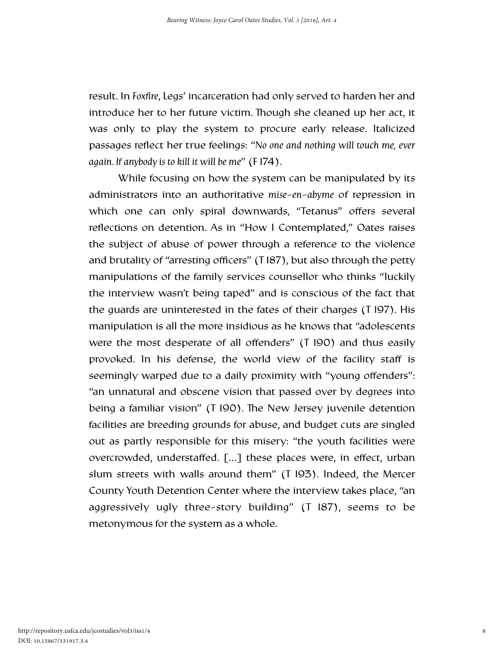result. In *Foxfire*, Legs' incarceration had only served to harden her and introduce her to her future victim. Though she cleaned up her act, it was only to play the system to procure early release. Italicized passages reflect her true feelings: "*No one and nothing will touch me, ever again. If anybody is to kill it will be me*" (F 174).

 While focusing on how the system can be manipulated by its administrators into an authoritative *mise-en-abyme* of repression in which one can only spiral downwards, "Tetanus" offers several reflections on detention. As in "How I Contemplated," Oates raises the subject of abuse of power through a reference to the violence and brutality of "arresting officers" (T 187), but also through the petty manipulations of the family services counsellor who thinks "luckily the interview wasn't being taped" and is conscious of the fact that the guards are uninterested in the fates of their charges (T 197). His manipulation is all the more insidious as he knows that "adolescents were the most desperate of all offenders" (T 190) and thus easily provoked. In his defense, the world view of the facility staff is seemingly warped due to a daily proximity with "young offenders": "an unnatural and obscene vision that passed over by degrees into being a familiar vision" (T 190). The New Jersey juvenile detention facilities are breeding grounds for abuse, and budget cuts are singled out as partly responsible for this misery: "the youth facilities were overcrowded, understaffed. […] these places were, in effect, urban slum streets with walls around them" (T 193). Indeed, the Mercer County Youth Detention Center where the interview takes place, "an aggressively ugly three-story building" (T 187), seems to be metonymous for the system as a whole.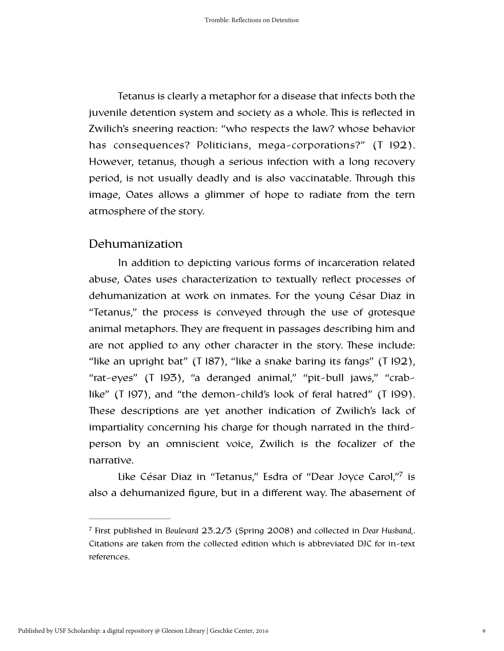Tetanus is clearly a metaphor for a disease that infects both the juvenile detention system and society as a whole. This is reflected in Zwilich's sneering reaction: "who respects the law? whose behavior has consequences? Politicians, mega-corporations?" (T 192). However, tetanus, though a serious infection with a long recovery period, is not usually deadly and is also vaccinatable. Through this image, Oates allows a glimmer of hope to radiate from the tern atmosphere of the story.

### Dehumanization

 In addition to depicting various forms of incarceration related abuse, Oates uses characterization to textually reflect processes of dehumanization at work on inmates. For the young César Diaz in "Tetanus," the process is conveyed through the use of grotesque animal metaphors. They are frequent in passages describing him and are not applied to any other character in the story. These include: "like an upright bat" (T  $187$ ), "like a snake baring its fangs" (T  $192$ ), "rat-eyes" (T 193), "a deranged animal," "pit-bull jaws," "crablike" (T 197), and "the demon-child's look of feral hatred" (T 199). These descriptions are yet another indication of Zwilich's lack of impartiality concerning his charge for though narrated in the thirdperson by an omniscient voice, Zwilich is the focalizer of the narrative.

<span id="page-10-1"></span>Like César Diaz in "Tetanus,["](#page-10-0) Esdra of "Dear Joyce Carol,"[7](#page-10-0) is also a dehumanized figure, but in a different way. The abasement of

<span id="page-10-0"></span>First published in *Boulevard* 23.2/3 (Spring 2008) and collected in *Dear Husband,*. [7](#page-10-1) Citations are taken from the collected edition which is abbreviated DJC for in-text references.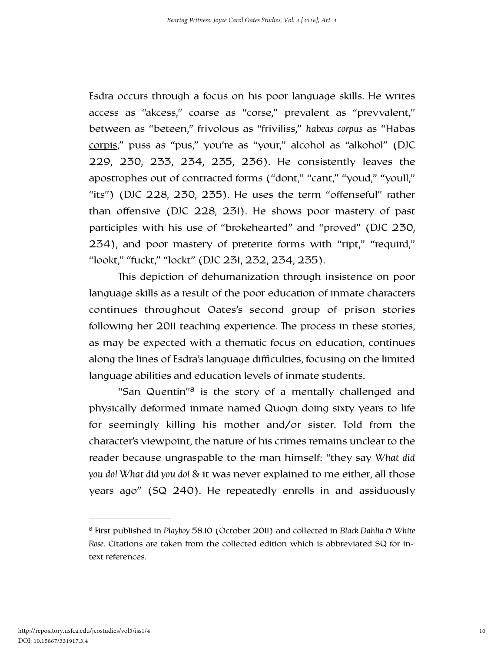Esdra occurs through a focus on his poor language skills. He writes access as "akcess," coarse as "corse," prevalent as "prevvalent," between as "beteen," frivolous as "friviliss," *habeas corpus* as "Habas corpis," puss as "pus," you're as "your," alcohol as "alkohol" (DJC 229, 230, 233, 234, 235, 236). He consistently leaves the apostrophes out of contracted forms ("dont," "cant," "youd," "youll," "its") (DJC 228, 230, 235). He uses the term "offenseful" rather than offensive (DJC 228, 231). He shows poor mastery of past participles with his use of "brokehearted" and "proved" (DJC 230, 234), and poor mastery of preterite forms with "ript," "requird," "lookt," "fuckt," "lockt" (DJC 231, 232, 234, 235).

This depiction of dehumanization through insistence on poor language skills as a result of the poor education of inmate characters continues throughout Oates's second group of prison stories following her 2011 teaching experience. The process in these stories, as may be expected with a thematic focus on education, continues along the lines of Esdra's language difficulties, focusing on the limited language abilities and education levels of inmate students.

<span id="page-11-1"></span>["](#page-11-0)San Quentin" $\frac{8}{3}$  $\frac{8}{3}$  $\frac{8}{3}$  is the story of a mentally challenged and physically deformed inmate named Quogn doing sixty years to life for seemingly killing his mother and/or sister. Told from the character's viewpoint, the nature of his crimes remains unclear to the reader because ungraspable to the man himself: "they say *What did you do! What did you do!* & it was never explained to me either, all those years ago" (SQ 240). He repeatedly enrolls in and assiduously

<span id="page-11-0"></span>First published in *Playboy* 58.10 (October 2011) and collected in *Black Dahlia & White* [8](#page-11-1) *Rose*. Citations are taken from the collected edition which is abbreviated SQ for intext references.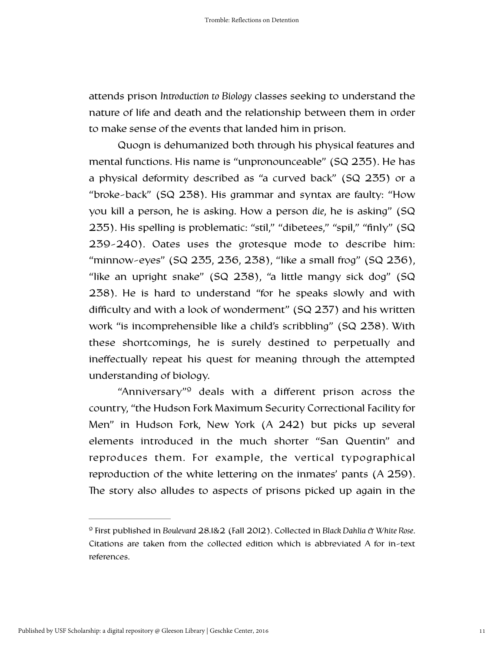attends prison *Introduction to Biology* classes seeking to understand the nature of life and death and the relationship between them in order to make sense of the events that landed him in prison.

Quogn is dehumanized both through his physical features and mental functions. His name is "unpronounceable" (SQ 235). He has a physical deformity described as "a curved back" (SQ 235) or a "broke-back" (SQ 238). His grammar and syntax are faulty: "How you kill a person, he is asking. How a person *die*, he is asking" (SQ 235). His spelling is problematic: "stil," "dibetees," "spil," "finly" (SQ 239-240). Oates uses the grotesque mode to describe him: "minnow-eyes" (SQ 235, 236, 238), "like a small frog" (SQ 236), "like an upright snake" (SQ 238), "a little mangy sick dog" (SQ 238). He is hard to understand "for he speaks slowly and with difficulty and with a look of wonderment" (SQ 237) and his written work "is incomprehensible like a child's scribbling" (SQ 238). With these shortcomings, he is surely destined to perpetually and ineffectually repeat his quest for meaning through the attempted understanding of biology.

<span id="page-12-1"></span>"Anniversary"<sup>[9](#page-12-0)</sup> deals with a different prison across the country, "the Hudson Fork Maximum Security Correctional Facility for Men" in Hudson Fork, New York (A 242) but picks up several elements introduced in the much shorter "San Quentin" and reproduces them. For example, the vertical typographical reproduction of the white lettering on the inmates' pants (A 259). The story also alludes to aspects of prisons picked up again in the

<span id="page-12-0"></span>First published in *Boulevard* 28.1&2 (Fall 2012). Collected in *Black Dahlia & White Rose*. [9](#page-12-1) Citations are taken from the collected edition which is abbreviated A for in-text references.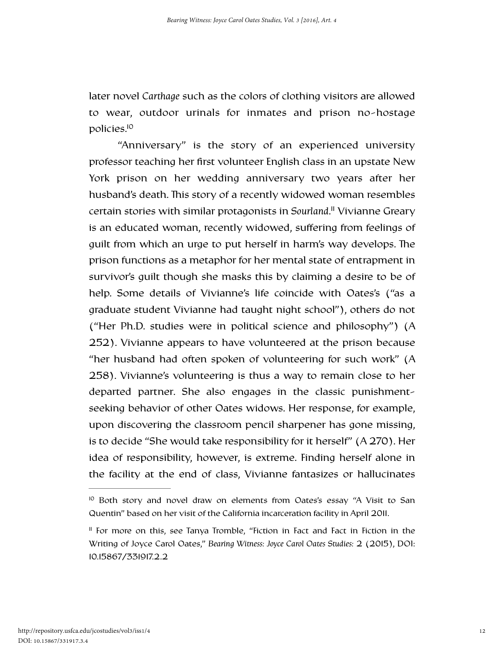later novel *Carthage* such as the colors of clothing visitors are allowed to wear, outdoor urinals for inmates and prison no-hostage policies[.10](#page-13-0)

<span id="page-13-3"></span><span id="page-13-2"></span>"Anniversary" is the story of an experienced university professor teaching her first volunteer English class in an upstate New York prison on her wedding anniversary two years after her husband's death. This story of a recently widowed woman resembles certain stories with similar protagonists in *Sourland*[.](#page-13-1)<sup>"</sup> Vivianne Greary is an educated woman, recently widowed, suffering from feelings of guilt from which an urge to put herself in harm's way develops. The prison functions as a metaphor for her mental state of entrapment in survivor's guilt though she masks this by claiming a desire to be of help. Some details of Vivianne's life coincide with Oates's ("as a graduate student Vivianne had taught night school"), others do not ("Her Ph.D. studies were in political science and philosophy") (A 252). Vivianne appears to have volunteered at the prison because "her husband had often spoken of volunteering for such work" (A 258). Vivianne's volunteering is thus a way to remain close to her departed partner. She also engages in the classic punishmentseeking behavior of other Oates widows. Her response, for example, upon discovering the classroom pencil sharpener has gone missing, is to decide "She would take responsibility for it herself" (A 270). Her idea of responsibility, however, is extreme. Finding herself alone in the facility at the end of class, Vivianne fantasizes or hallucinates

<span id="page-13-0"></span> $10$  Both story and novel draw on elements from Oates's essay "A Visit to San Quentin" based on her visit of the California incarceration facility in April 2011.

<span id="page-13-1"></span> $<sup>II</sup>$  For more on this, see Tanya Tromble, "Fiction in Fact and Fact in Fiction in the</sup> Writing of Joyce Carol Oates," *Bearing Witness: Joyce Carol Oates Studies:* 2 (2015), DOI: 10.15867/331917.2.2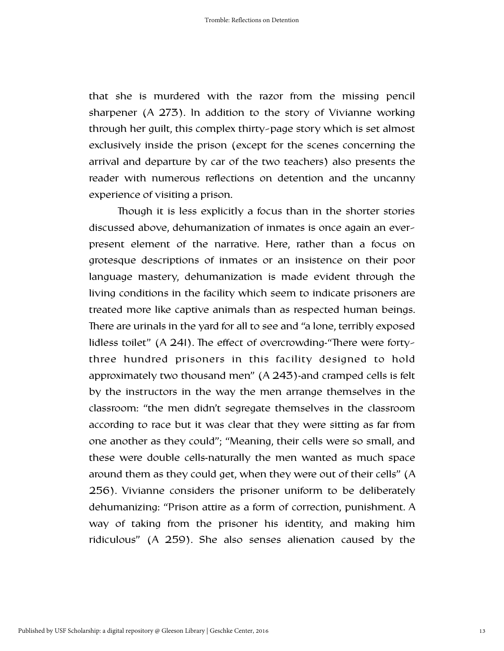that she is murdered with the razor from the missing pencil sharpener (A 273). In addition to the story of Vivianne working through her guilt, this complex thirty-page story which is set almost exclusively inside the prison (except for the scenes concerning the arrival and departure by car of the two teachers) also presents the reader with numerous reflections on detention and the uncanny experience of visiting a prison.

Though it is less explicitly a focus than in the shorter stories discussed above, dehumanization of inmates is once again an everpresent element of the narrative. Here, rather than a focus on grotesque descriptions of inmates or an insistence on their poor language mastery, dehumanization is made evident through the living conditions in the facility which seem to indicate prisoners are treated more like captive animals than as respected human beings. There are urinals in the yard for all to see and "a lone, terribly exposed lidless toilet"  $(A 241)$ . The effect of overcrowding-"There were fortythree hundred prisoners in this facility designed to hold approximately two thousand men" (A 243)-and cramped cells is felt by the instructors in the way the men arrange themselves in the classroom: "the men didn't segregate themselves in the classroom according to race but it was clear that they were sitting as far from one another as they could"; "Meaning, their cells were so small, and these were double cells-naturally the men wanted as much space around them as they could get, when they were out of their cells" (A 256). Vivianne considers the prisoner uniform to be deliberately dehumanizing: "Prison attire as a form of correction, punishment. A way of taking from the prisoner his identity, and making him ridiculous" (A 259). She also senses alienation caused by the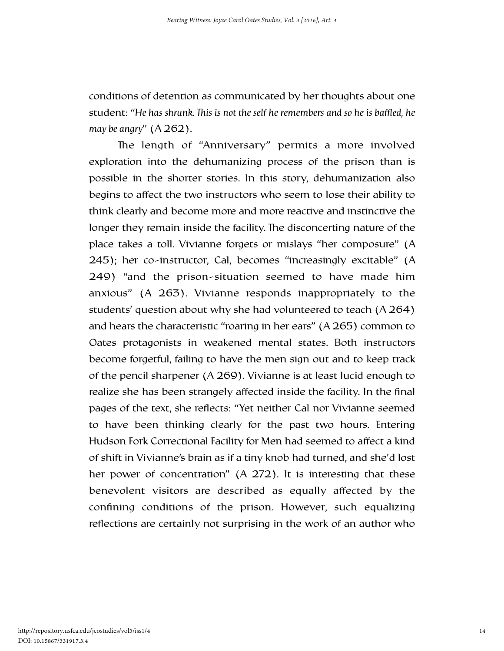conditions of detention as communicated by her thoughts about one student: "*He has shrunk. is is not the self he remembers and so he is baffled, he may be angry*" (A 262).

The length of "Anniversary" permits a more involved exploration into the dehumanizing process of the prison than is possible in the shorter stories. In this story, dehumanization also begins to affect the two instructors who seem to lose their ability to think clearly and become more and more reactive and instinctive the longer they remain inside the facility. The disconcerting nature of the place takes a toll. Vivianne forgets or mislays "her composure" (A 245); her co-instructor, Cal, becomes "increasingly excitable" (A 249) "and the prison-situation seemed to have made him anxious" (A 263). Vivianne responds inappropriately to the students' question about why she had volunteered to teach (A 264) and hears the characteristic "roaring in her ears" (A 265) common to Oates protagonists in weakened mental states. Both instructors become forgetful, failing to have the men sign out and to keep track of the pencil sharpener (A 269). Vivianne is at least lucid enough to realize she has been strangely affected inside the facility. In the final pages of the text, she reflects: "Yet neither Cal nor Vivianne seemed to have been thinking clearly for the past two hours. Entering Hudson Fork Correctional Facility for Men had seemed to affect a kind of shift in Vivianne's brain as if a tiny knob had turned, and she'd lost her power of concentration" (A 272). It is interesting that these benevolent visitors are described as equally affected by the confining conditions of the prison. However, such equalizing reflections are certainly not surprising in the work of an author who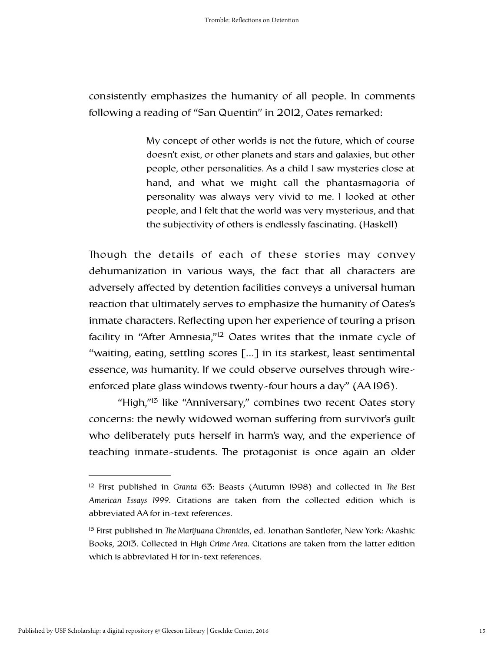consistently emphasizes the humanity of all people. In comments following a reading of "San Quentin" in 2012, Oates remarked:

> My concept of other worlds is not the future, which of course doesn't exist, or other planets and stars and galaxies, but other people, other personalities. As a child I saw mysteries close at hand, and what we might call the phantasmagoria of personality was always very vivid to me. I looked at other people, and I felt that the world was very mysterious, and that the subjectivity of others is endlessly fascinating. (Haskell)

Though the details of each of these stories may convey dehumanization in various ways, the fact that all characters are adversely affected by detention facilities conveys a universal human reaction that ultimately serves to emphasize the humanity of Oates's inmate characters. Reflecting upon her experience of touring a prison facility in ["](#page-16-0)After Amnesia," $12$  Oates writes that the inmate cycle of "waiting, eating, settling scores […] in its starkest, least sentimental essence, *was* humanity. If we could observe ourselves through wireenforced plate glass windows twenty-four hours a day" (AA 196).

<span id="page-16-3"></span><span id="page-16-2"></span>["](#page-16-1)High,"<sup>[13](#page-16-1)</sup> like "Anniversary," combines two recent Oates story concerns: the newly widowed woman suffering from survivor's guilt who deliberately puts herself in harm's way, and the experience of teaching inmate-students. The protagonist is once again an older

<span id="page-16-0"></span><sup>&</sup>lt;sup>[12](#page-16-2)</sup> First published in *Granta* 63: Beasts (Autumn 1998) and collected in *The Best American Essays 1999*. Citations are taken from the collected edition which is abbreviated AA for in-text references.

<span id="page-16-1"></span><sup>&</sup>lt;sup>[13](#page-16-3)</sup> First published in *The Marijuana Chronicles*, ed. Jonathan Santlofer, New York: Akashic Books, 2013. Collected in *High Crime Area*. Citations are taken from the latter edition which is abbreviated H for in-text references.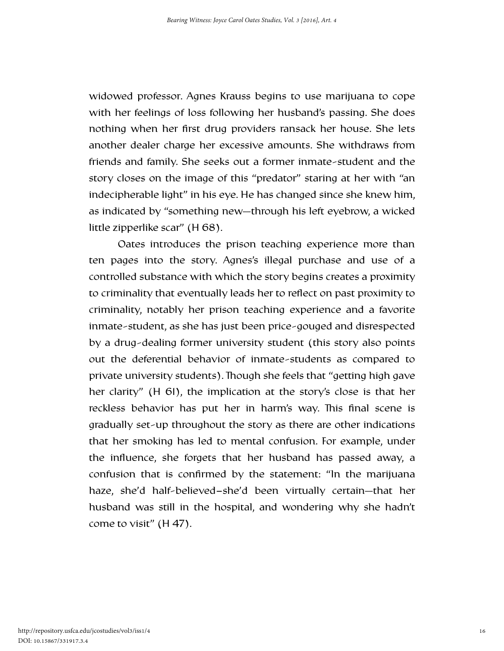widowed professor. Agnes Krauss begins to use marijuana to cope with her feelings of loss following her husband's passing. She does nothing when her first drug providers ransack her house. She lets another dealer charge her excessive amounts. She withdraws from friends and family. She seeks out a former inmate-student and the story closes on the image of this "predator" staring at her with "an indecipherable light" in his eye. He has changed since she knew him, as indicated by "something new—through his left eyebrow, a wicked little zipperlike scar" (H 68).

Oates introduces the prison teaching experience more than ten pages into the story. Agnes's illegal purchase and use of a controlled substance with which the story begins creates a proximity to criminality that eventually leads her to reflect on past proximity to criminality, notably her prison teaching experience and a favorite inmate-student, as she has just been price-gouged and disrespected by a drug-dealing former university student (this story also points out the deferential behavior of inmate-students as compared to private university students). Though she feels that "getting high gave her clarity" (H 61), the implication at the story's close is that her reckless behavior has put her in harm's way. This final scene is gradually set-up throughout the story as there are other indications that her smoking has led to mental confusion. For example, under the influence, she forgets that her husband has passed away, a confusion that is confirmed by the statement: "In the marijuana haze, she'd half-believed−she'd been virtually certain—that her husband was still in the hospital, and wondering why she hadn't come to visit" (H 47).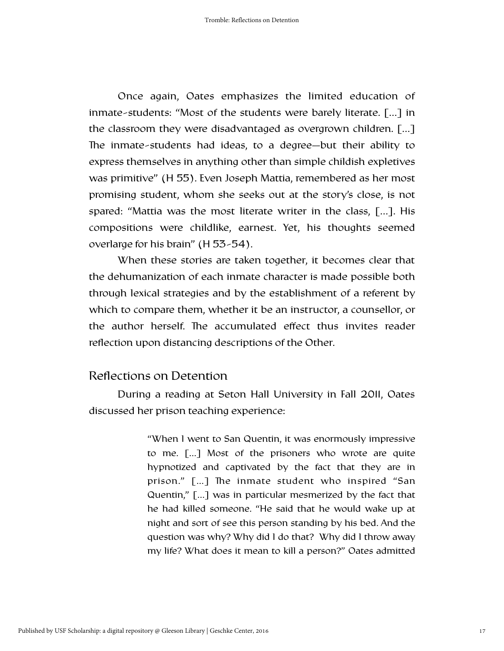Once again, Oates emphasizes the limited education of inmate-students: "Most of the students were barely literate. […] in the classroom they were disadvantaged as overgrown children. […] The inmate-students had ideas, to a degree-but their ability to express themselves in anything other than simple childish expletives was primitive" (H 55). Even Joseph Mattia, remembered as her most promising student, whom she seeks out at the story's close, is not spared: "Mattia was the most literate writer in the class, […]. His compositions were childlike, earnest. Yet, his thoughts seemed overlarge for his brain" (H 53-54).

When these stories are taken together, it becomes clear that the dehumanization of each inmate character is made possible both through lexical strategies and by the establishment of a referent by which to compare them, whether it be an instructor, a counsellor, or the author herself. The accumulated effect thus invites reader reflection upon distancing descriptions of the Other.

### Reflections on Detention

During a reading at Seton Hall University in Fall 2011, Oates discussed her prison teaching experience:

> "When I went to San Quentin, it was enormously impressive to me. […] Most of the prisoners who wrote are quite hypnotized and captivated by the fact that they are in prison." [...] The inmate student who inspired "San Quentin," […] was in particular mesmerized by the fact that he had killed someone. "He said that he would wake up at night and sort of see this person standing by his bed. And the question was why? Why did I do that? Why did I throw away my life? What does it mean to kill a person?" Oates admitted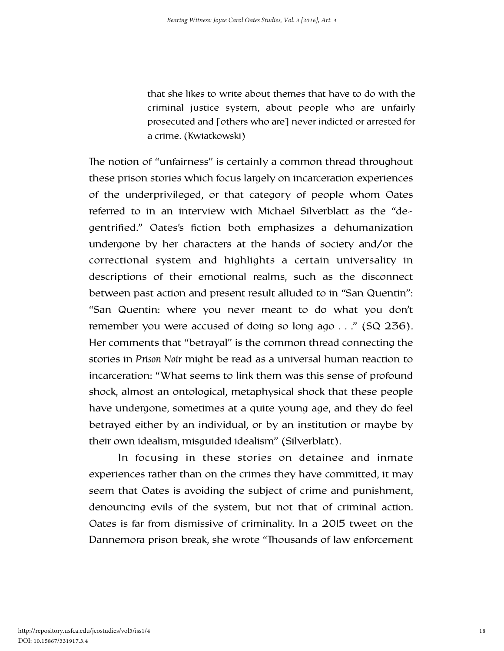that she likes to write about themes that have to do with the criminal justice system, about people who are unfairly prosecuted and [others who are] never indicted or arrested for a crime. (Kwiatkowski)

The notion of "unfairness" is certainly a common thread throughout these prison stories which focus largely on incarceration experiences of the underprivileged, or that category of people whom Oates referred to in an interview with Michael Silverblatt as the "degentrified." Oates's fiction both emphasizes a dehumanization undergone by her characters at the hands of society and/or the correctional system and highlights a certain universality in descriptions of their emotional realms, such as the disconnect between past action and present result alluded to in "San Quentin": "San Quentin: where you never meant to do what you don't remember you were accused of doing so long ago . . ." (SQ 236). Her comments that "betrayal" is the common thread connecting the stories in *Prison Noir* might be read as a universal human reaction to incarceration: "What seems to link them was this sense of profound shock, almost an ontological, metaphysical shock that these people have undergone, sometimes at a quite young age, and they do feel betrayed either by an individual, or by an institution or maybe by their own idealism, misguided idealism" (Silverblatt).

 In focusing in these stories on detainee and inmate experiences rather than on the crimes they have committed, it may seem that Oates is avoiding the subject of crime and punishment, denouncing evils of the system, but not that of criminal action. Oates is far from dismissive of criminality. In a 2015 tweet on the Dannemora prison break, she wrote "Thousands of law enforcement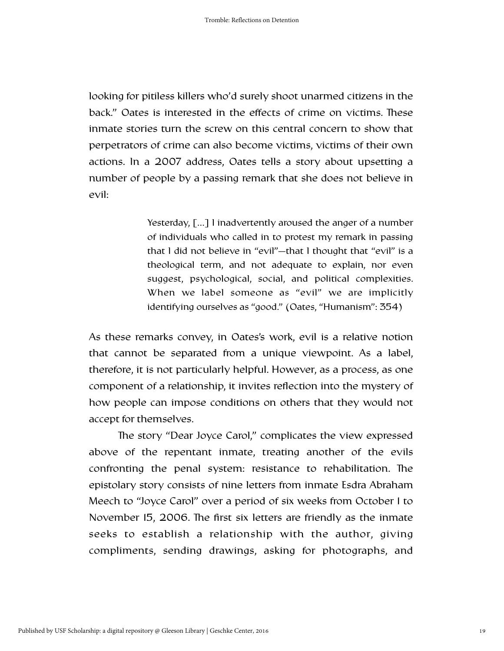looking for pitiless killers who'd surely shoot unarmed citizens in the back." Oates is interested in the effects of crime on victims. These inmate stories turn the screw on this central concern to show that perpetrators of crime can also become victims, victims of their own actions. In a 2007 address, Oates tells a story about upsetting a number of people by a passing remark that she does not believe in evil:

> Yesterday, [...] I inadvertently aroused the anger of a number of individuals who called in to protest my remark in passing that I did not believe in "evil"—that I thought that "evil" is a theological term, and not adequate to explain, nor even suggest, psychological, social, and political complexities. When we label someone as "evil" we are implicitly identifying ourselves as "good." (Oates, "Humanism": 354)

As these remarks convey, in Oates's work, evil is a relative notion that cannot be separated from a unique viewpoint. As a label, therefore, it is not particularly helpful. However, as a process, as one component of a relationship, it invites reflection into the mystery of how people can impose conditions on others that they would not accept for themselves.

The story "Dear Joyce Carol," complicates the view expressed above of the repentant inmate, treating another of the evils confronting the penal system: resistance to rehabilitation. The epistolary story consists of nine letters from inmate Esdra Abraham Meech to "Joyce Carol" over a period of six weeks from October 1 to November 15, 2006. The first six letters are friendly as the inmate seeks to establish a relationship with the author, giving compliments, sending drawings, asking for photographs, and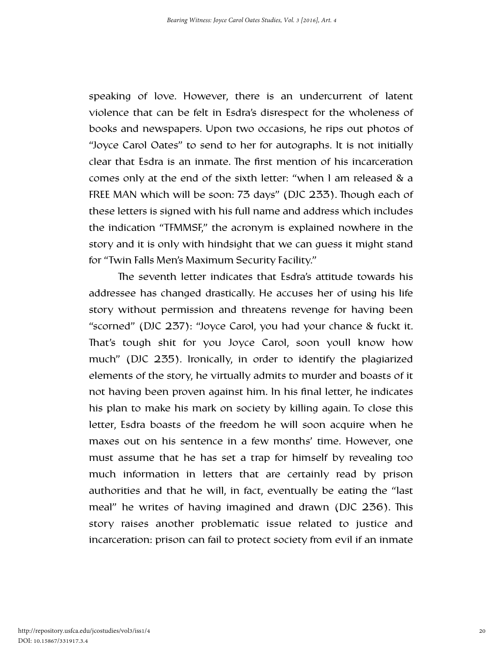speaking of love. However, there is an undercurrent of latent violence that can be felt in Esdra's disrespect for the wholeness of books and newspapers. Upon two occasions, he rips out photos of "Joyce Carol Oates" to send to her for autographs. It is not initially clear that Esdra is an inmate. The first mention of his incarceration comes only at the end of the sixth letter: "when I am released & a FREE MAN which will be soon: 73 days" (DJC 233). Though each of these letters is signed with his full name and address which includes the indication "TFMMSF," the acronym is explained nowhere in the story and it is only with hindsight that we can guess it might stand for "Twin Falls Men's Maximum Security Facility."

The seventh letter indicates that Esdra's attitude towards his addressee has changed drastically. He accuses her of using his life story without permission and threatens revenge for having been "scorned" (DJC 237): "Joyce Carol, you had your chance & fuckt it. That's tough shit for you Joyce Carol, soon youll know how much" (DJC 235). Ironically, in order to identify the plagiarized elements of the story, he virtually admits to murder and boasts of it not having been proven against him. In his final letter, he indicates his plan to make his mark on society by killing again. To close this letter, Esdra boasts of the freedom he will soon acquire when he maxes out on his sentence in a few months' time. However, one must assume that he has set a trap for himself by revealing too much information in letters that are certainly read by prison authorities and that he will, in fact, eventually be eating the "last meal" he writes of having imagined and drawn (DJC 236). This story raises another problematic issue related to justice and incarceration: prison can fail to protect society from evil if an inmate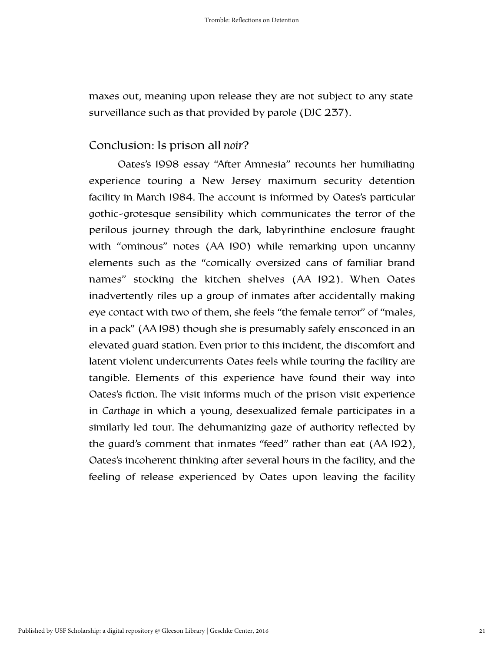maxes out, meaning upon release they are not subject to any state surveillance such as that provided by parole (DJC 237).

### Conclusion: Is prison all *noir*?

Oates's 1998 essay "After Amnesia" recounts her humiliating experience touring a New Jersey maximum security detention facility in March 1984. The account is informed by Oates's particular gothic-grotesque sensibility which communicates the terror of the perilous journey through the dark, labyrinthine enclosure fraught with "ominous" notes (AA 190) while remarking upon uncanny elements such as the "comically oversized cans of familiar brand names" stocking the kitchen shelves (AA 192). When Oates inadvertently riles up a group of inmates after accidentally making eye contact with two of them, she feels "the female terror" of "males, in a pack" (AA 198) though she is presumably safely ensconced in an elevated guard station. Even prior to this incident, the discomfort and latent violent undercurrents Oates feels while touring the facility are tangible. Elements of this experience have found their way into Oates's fiction. The visit informs much of the prison visit experience in *Carthage* in which a young, desexualized female participates in a similarly led tour. The dehumanizing gaze of authority reflected by the guard's comment that inmates "feed" rather than eat (AA 192), Oates's incoherent thinking after several hours in the facility, and the feeling of release experienced by Oates upon leaving the facility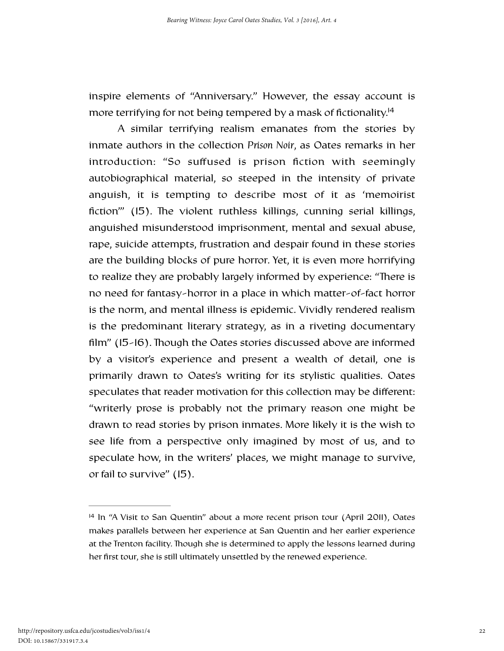inspire elements of "Anniversary." However, the essay account is more terrifying for not being tempered by a mask of fictionality.<sup>14</sup>

<span id="page-23-1"></span>A similar terrifying realism emanates from the stories by inmate authors in the collection *Prison Noir*, as Oates remarks in her introduction: "So suffused is prison fiction with seemingly autobiographical material, so steeped in the intensity of private anguish, it is tempting to describe most of it as 'memoirist fiction"  $(15)$ . The violent ruthless killings, cunning serial killings, anguished misunderstood imprisonment, mental and sexual abuse, rape, suicide attempts, frustration and despair found in these stories are the building blocks of pure horror. Yet, it is even more horrifying to realize they are probably largely informed by experience: "There is no need for fantasy-horror in a place in which matter-of-fact horror is the norm, and mental illness is epidemic. Vividly rendered realism is the predominant literary strategy, as in a riveting documentary film" (15-16). Though the Oates stories discussed above are informed by a visitor's experience and present a wealth of detail, one is primarily drawn to Oates's writing for its stylistic qualities. Oates speculates that reader motivation for this collection may be different: "writerly prose is probably not the primary reason one might be drawn to read stories by prison inmates. More likely it is the wish to see life from a perspective only imagined by most of us, and to speculate how, in the writers' places, we might manage to survive, or fail to survive" (15).

<span id="page-23-0"></span> $14$  In "A Visit to San Quentin" about a more recent prison tour (April 2011), Oates makes parallels between her experience at San Quentin and her earlier experience at the Trenton facility. Though she is determined to apply the lessons learned during her first tour, she is still ultimately unsettled by the renewed experience.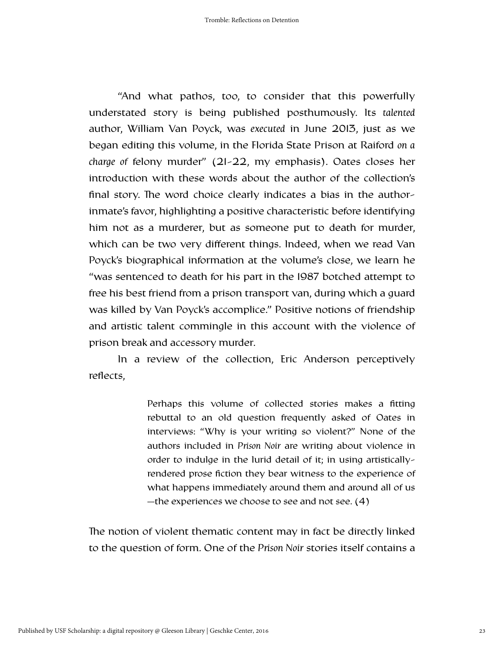"And what pathos, too, to consider that this powerfully understated story is being published posthumously. Its *talented* author, William Van Poyck, was *executed* in June 2013, just as we began editing this volume, in the Florida State Prison at Raiford *on a charge of* felony murder" (21-22, my emphasis). Oates closes her introduction with these words about the author of the collection's final story. The word choice clearly indicates a bias in the authorinmate's favor, highlighting a positive characteristic before identifying him not as a murderer, but as someone put to death for murder, which can be two very different things. Indeed, when we read Van Poyck's biographical information at the volume's close, we learn he "was sentenced to death for his part in the 1987 botched attempt to free his best friend from a prison transport van, during which a guard was killed by Van Poyck's accomplice." Positive notions of friendship and artistic talent commingle in this account with the violence of prison break and accessory murder.

In a review of the collection, Eric Anderson perceptively reflects,

> Perhaps this volume of collected stories makes a fitting rebuttal to an old question frequently asked of Oates in interviews: "Why is your writing so violent?" None of the authors included in *Prison Noir* are writing about violence in order to indulge in the lurid detail of it; in using artisticallyrendered prose fiction they bear witness to the experience of what happens immediately around them and around all of us —the experiences we choose to see and not see. (4)

The notion of violent thematic content may in fact be directly linked to the question of form. One of the *Prison Noir* stories itself contains a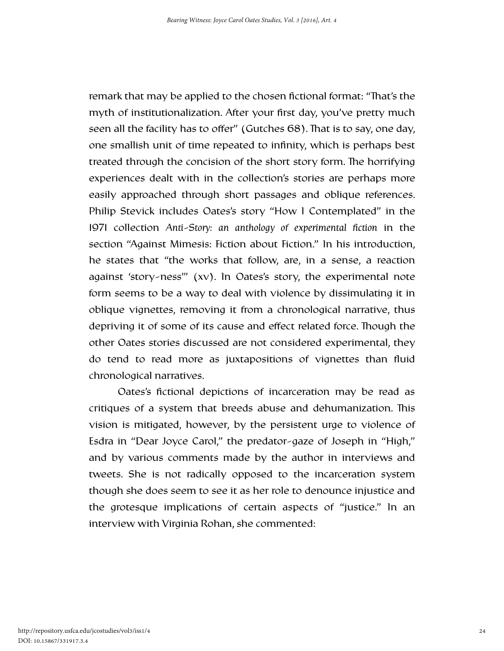remark that may be applied to the chosen fictional format: "That's the myth of institutionalization. After your first day, you've pretty much seen all the facility has to offer" (Gutches 68). That is to say, one day, one smallish unit of time repeated to infinity, which is perhaps best treated through the concision of the short story form. The horrifying experiences dealt with in the collection's stories are perhaps more easily approached through short passages and oblique references. Philip Stevick includes Oates's story "How I Contemplated" in the 1971 collection *Anti-Story: an anthology of experimental fiction* in the section "Against Mimesis: Fiction about Fiction." In his introduction, he states that "the works that follow, are, in a sense, a reaction against 'story-ness'" (xv). In Oates's story, the experimental note form seems to be a way to deal with violence by dissimulating it in oblique vignettes, removing it from a chronological narrative, thus depriving it of some of its cause and effect related force. Though the other Oates stories discussed are not considered experimental, they do tend to read more as juxtapositions of vignettes than fluid chronological narratives.

Oates's fictional depictions of incarceration may be read as critiques of a system that breeds abuse and dehumanization. This vision is mitigated, however, by the persistent urge to violence of Esdra in "Dear Joyce Carol," the predator-gaze of Joseph in "High," and by various comments made by the author in interviews and tweets. She is not radically opposed to the incarceration system though she does seem to see it as her role to denounce injustice and the grotesque implications of certain aspects of "justice." In an interview with Virginia Rohan, she commented: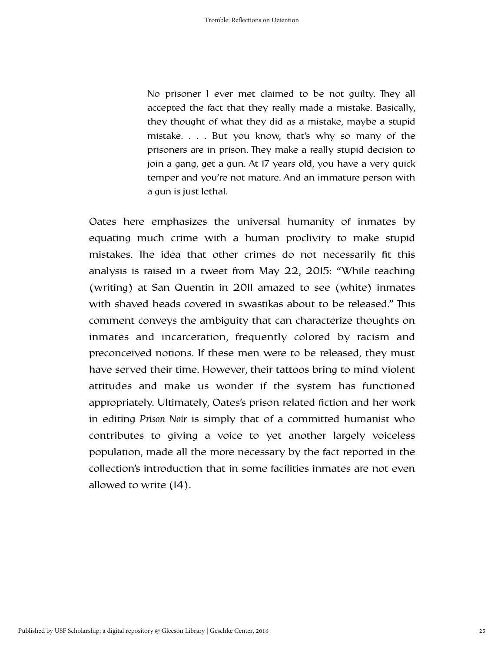No prisoner I ever met claimed to be not quilty. They all accepted the fact that they really made a mistake. Basically, they thought of what they did as a mistake, maybe a stupid mistake. . . . But you know, that's why so many of the prisoners are in prison. They make a really stupid decision to join a gang, get a gun. At 17 years old, you have a very quick temper and you're not mature. And an immature person with a gun is just lethal.

Oates here emphasizes the universal humanity of inmates by equating much crime with a human proclivity to make stupid mistakes. The idea that other crimes do not necessarily fit this analysis is raised in a tweet from May 22, 2015: "While teaching (writing) at San Quentin in 2011 amazed to see (white) inmates with shaved heads covered in swastikas about to be released." This comment conveys the ambiguity that can characterize thoughts on inmates and incarceration, frequently colored by racism and preconceived notions. If these men were to be released, they must have served their time. However, their tattoos bring to mind violent attitudes and make us wonder if the system has functioned appropriately. Ultimately, Oates's prison related fiction and her work in editing *Prison Noir* is simply that of a committed humanist who contributes to giving a voice to yet another largely voiceless population, made all the more necessary by the fact reported in the collection's introduction that in some facilities inmates are not even allowed to write (14).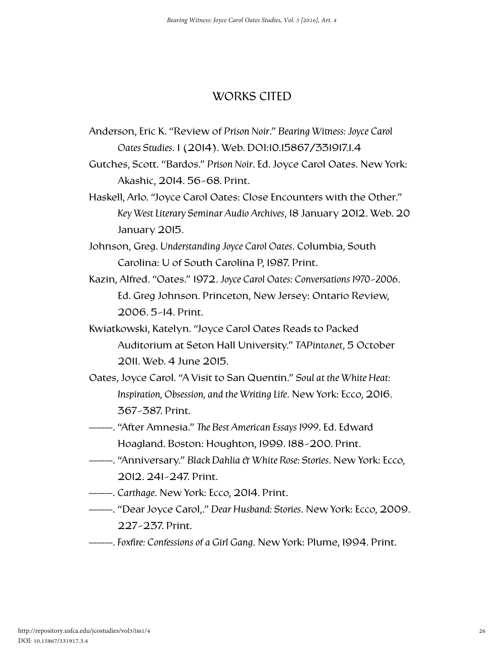### WORKS CITED

- Anderson, Eric K. "Review of *Prison Noir*." *Bearing Witness: Joyce Carol Oates Studies*. 1 (2014). Web. DOI:10.15867/331917.1.4
- Gutches, Scott. "Bardos." *Prison Noir*. Ed. Joyce Carol Oates. New York: Akashic, 2014. 56-68. Print.
- Haskell, Arlo. "Joyce Carol Oates: Close Encounters with the Other." *Key West Literary Seminar Audio Archives*, 18 January 2012. Web. 20 January 2015.
- Johnson, Greg. *Understanding Joyce Carol Oates*. Columbia, South Carolina: U of South Carolina P, 1987. Print.
- Kazin, Alfred. "Oates." 1972. *Joyce Carol Oates: Conversations 1970-2006*. Ed. Greg Johnson. Princeton, New Jersey: Ontario Review, 2006. 5-14. Print.
- Kwiatkowski, Katelyn. "Joyce Carol Oates Reads to Packed Auditorium at Seton Hall University." *TAPinto.net*, 5 October 2011. Web. 4 June 2015.
- Oates, Joyce Carol. "A Visit to San Quentin." *Soul at the White Heat: Inspiration, Obsession, and the Writing Life*. New York: Ecco, 2016. 367-387. Print.
- ———. "After Amnesia." *e Best American Essays 1999*. Ed. Edward Hoagland. Boston: Houghton, 1999. 188-200. Print.
- ———. "Anniversary." *Black Dahlia & White Rose: Stories*. New York: Ecco, 2012. 241-247. Print.
- ———. *Carthage*. New York: Ecco, 2014. Print.
- ———. "Dear Joyce Carol,." *Dear Husband: Stories*. New York: Ecco, 2009. 227-237. Print.
- ———. *Foxfire: Confessions of a Girl Gang*. New York: Plume, 1994. Print.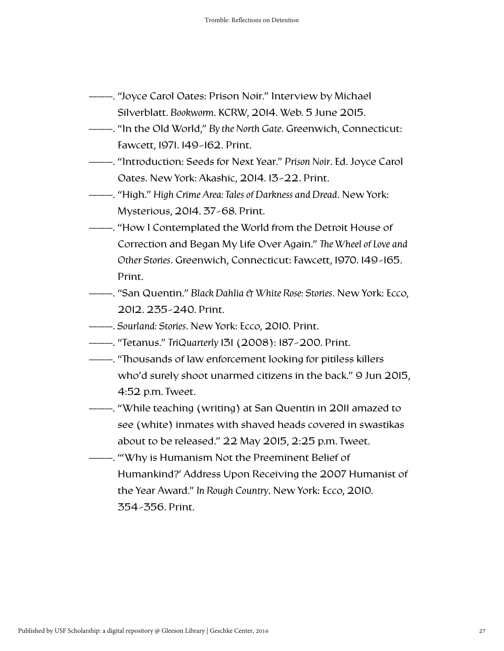- ———. "Joyce Carol Oates: Prison Noir." Interview by Michael Silverblatt. *Bookworm*. KCRW, 2014. Web. 5 June 2015.
- ———. "In the Old World," *By the North Gate*. Greenwich, Connecticut: Fawcett, 1971. 149-162. Print.
- ———. "Introduction: Seeds for Next Year." *Prison Noir*. Ed. Joyce Carol Oates. New York: Akashic, 2014. 13-22. Print.
- ———. "High." *High Crime Area: Tales of Darkness and Dread*. New York: Mysterious, 2014. 37-68. Print.
- ———. "How I Contemplated the World from the Detroit House of Correction and Began My Life Over Again." The Wheel of Love and *Other Stories*. Greenwich, Connecticut: Fawcett, 1970. 149-165. Print.
- ———. "San Quentin." *Black Dahlia & White Rose: Stories*. New York: Ecco, 2012. 235-240. Print.
- ———. *Sourland: Stories*. New York: Ecco, 2010. Print.
- ———. "Tetanus." *TriQuarterly* 131 (2008): 187-200. Print.
- ———. "Thousands of law enforcement looking for pitiless killers who'd surely shoot unarmed citizens in the back." 9 Jun 2015, 4:52 p.m. Tweet.
- ———. "While teaching (writing) at San Quentin in 2011 amazed to see (white) inmates with shaved heads covered in swastikas about to be released." 22 May 2015, 2:25 p.m. Tweet.
- ———. "'Why is Humanism Not the Preeminent Belief of Humankind?' Address Upon Receiving the 2007 Humanist of the Year Award." *In Rough Country*. New York: Ecco, 2010. 354-356. Print.